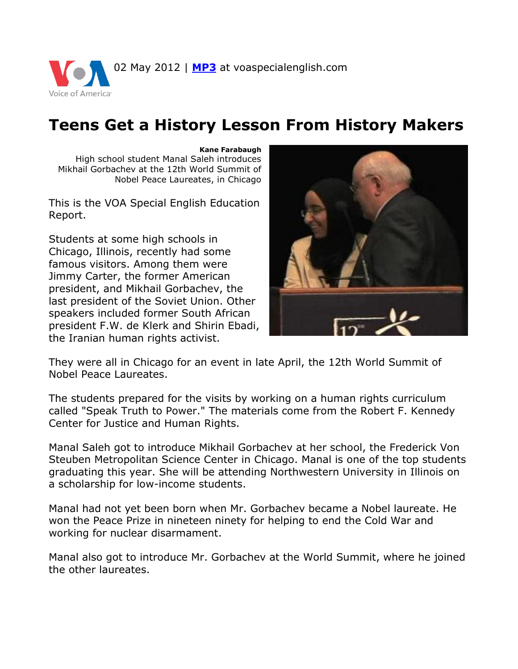02 May 2012 | **[MP3](http://www.voanews.com/MediaAssets2/learningenglish/dalet/se-ed-Nobel-laureates-3may12.Mp3)** at voaspecialenglish.com



## **Kane Farabaugh**

High school student Manal Saleh introduces Mikhail Gorbachev at the 12th World Summit of Nobel Peace Laureates, in Chicago

Voice of America<sup>®</sup>

This is the VOA Special English Education Report.

Students at some high schools in Chicago, Illinois, recently had some famous visitors. Among them were Jimmy Carter, the former American president, and Mikhail Gorbachev, the last president of the Soviet Union. Other speakers included former South African president F.W. de Klerk and Shirin Ebadi, the Iranian human rights activist.



They were all in Chicago for an event in late April, the 12th World Summit of Nobel Peace Laureates.

The students prepared for the visits by working on a human rights curriculum called "Speak Truth to Power." The materials come from the Robert F. Kennedy Center for Justice and Human Rights.

Manal Saleh got to introduce Mikhail Gorbachev at her school, the Frederick Von Steuben Metropolitan Science Center in Chicago. Manal is one of the top students graduating this year. She will be attending Northwestern University in Illinois on a scholarship for low-income students.

Manal had not yet been born when Mr. Gorbachev became a Nobel laureate. He won the Peace Prize in nineteen ninety for helping to end the Cold War and working for nuclear disarmament.

Manal also got to introduce Mr. Gorbachev at the World Summit, where he joined the other laureates.